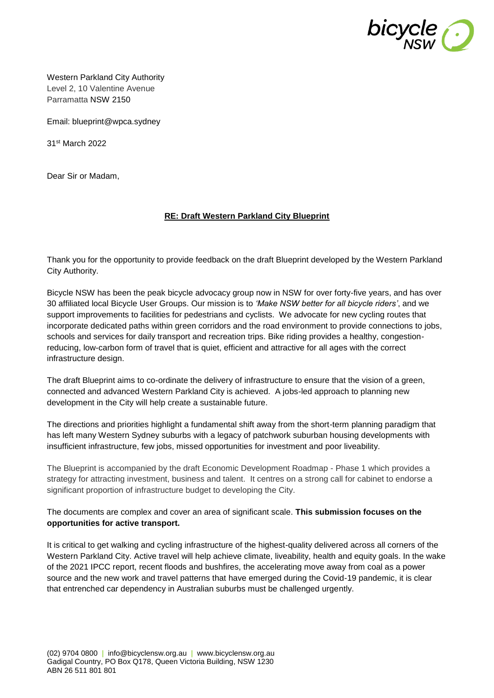

Western Parkland City Authority Level 2, 10 Valentine Avenue Parramatta NSW 2150

Email: blueprint@wpca.sydney

31st March 2022

Dear Sir or Madam,

#### **RE: Draft Western Parkland City Blueprint**

Thank you for the opportunity to provide feedback on the draft Blueprint developed by the Western Parkland City Authority.

Bicycle NSW has been the peak bicycle advocacy group now in NSW for over forty-five years, and has over 30 affiliated local Bicycle User Groups. Our mission is to *'Make NSW better for all bicycle riders'*, and we support improvements to facilities for pedestrians and cyclists. We advocate for new cycling routes that incorporate dedicated paths within green corridors and the road environment to provide connections to jobs, schools and services for daily transport and recreation trips. Bike riding provides a healthy, congestionreducing, low-carbon form of travel that is quiet, efficient and attractive for all ages with the correct infrastructure design.

The draft Blueprint aims to co-ordinate the delivery of infrastructure to ensure that the vision of a green, connected and advanced Western Parkland City is achieved. A jobs-led approach to planning new development in the City will help create a sustainable future.

The directions and priorities highlight a fundamental shift away from the short-term planning paradigm that has left many Western Sydney suburbs with a legacy of patchwork suburban housing developments with insufficient infrastructure, few jobs, missed opportunities for investment and poor liveability.

The Blueprint is accompanied by the draft Economic Development Roadmap - Phase 1 which provides a strategy for attracting investment, business and talent. It centres on a strong call for cabinet to endorse a significant proportion of infrastructure budget to developing the City.

The documents are complex and cover an area of significant scale. **This submission focuses on the opportunities for active transport.**

It is critical to get walking and cycling infrastructure of the highest-quality delivered across all corners of the Western Parkland City. Active travel will help achieve climate, liveability, health and equity goals. In the wake of the 2021 IPCC report, recent floods and bushfires, the accelerating move away from coal as a power source and the new work and travel patterns that have emerged during the Covid-19 pandemic, it is clear that entrenched car dependency in Australian suburbs must be challenged urgently.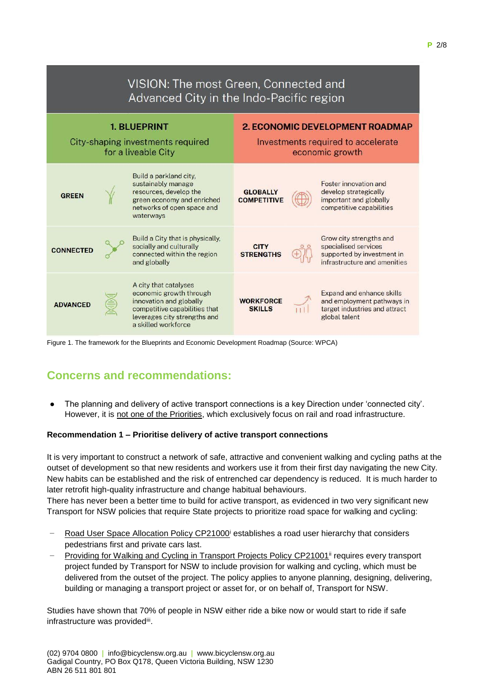

Figure 1. The framework for the Blueprints and Economic Development Roadmap (Source: WPCA)

# **Concerns and recommendations:**

The planning and delivery of active transport connections is a key Direction under 'connected city'. However, it is not one of the Priorities, which exclusively focus on rail and road infrastructure.

#### **Recommendation 1 – Prioritise delivery of active transport connections**

It is very important to construct a network of safe, attractive and convenient walking and cycling paths at the outset of development so that new residents and workers use it from their first day navigating the new City. New habits can be established and the risk of entrenched car dependency is reduced. It is much harder to later retrofit high-quality infrastructure and change habitual behaviours.

There has never been a better time to build for active transport, as evidenced in two very significant new Transport for NSW policies that require State projects to prioritize road space for walking and cycling:

- Road User Space Allocation Policy CP21000<sup>i</sup> establishes a road user hierarchy that considers pedestrians first and private cars last.
- **Providing for Walking and Cycling in Transport Projects Policy CP21001<sup>ii</sup> requires every transport** project funded by Transport for NSW to include provision for walking and cycling, which must be delivered from the outset of the project. The policy applies to anyone planning, designing, delivering, building or managing a transport project or asset for, or on behalf of, Transport for NSW.

Studies have shown that 70% of people in NSW either ride a bike now or would start to ride if safe infrastructure was providediii.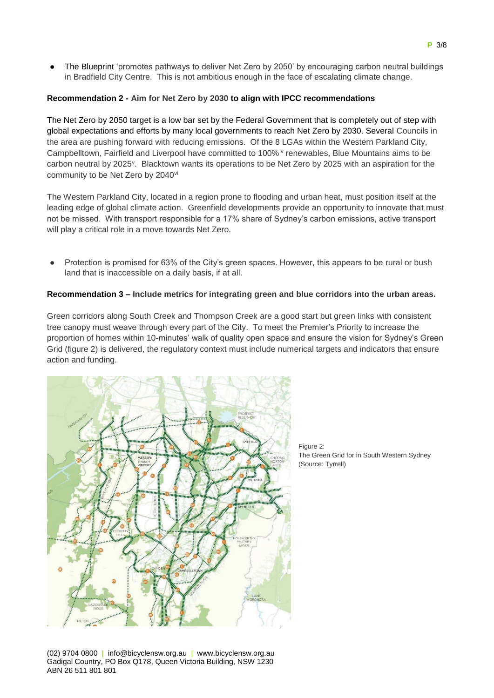The Blueprint 'promotes pathways to deliver Net Zero by 2050' by encouraging carbon neutral buildings in Bradfield City Centre. This is not ambitious enough in the face of escalating climate change.

#### **Recommendation 2 - Aim for Net Zero by 2030 to align with IPCC recommendations**

The Net Zero by 2050 target is a low bar set by the Federal Government that is completely out of step with global expectations and efforts by many local governments to reach Net Zero by 2030. Several Councils in the area are pushing forward with reducing emissions. Of the 8 LGAs within the Western Parkland City, Campbelltown, Fairfield and Liverpool have committed to 100%iv renewables, Blue Mountains aims to be carbon neutral by 2025<sup>v</sup>. Blacktown wants its operations to be Net Zero by 2025 with an aspiration for the community to be Net Zero by 2040vi

The Western Parkland City, located in a region prone to flooding and urban heat, must position itself at the leading edge of global climate action. Greenfield developments provide an opportunity to innovate that must not be missed. With transport responsible for a 17% share of Sydney's carbon emissions, active transport will play a critical role in a move towards Net Zero.

Protection is promised for 63% of the City's green spaces. However, this appears to be rural or bush land that is inaccessible on a daily basis, if at all.

#### **Recommendation 3 – Include metrics for integrating green and blue corridors into the urban areas.**

Green corridors along South Creek and Thompson Creek are a good start but green links with consistent tree canopy must weave through every part of the City. To meet the Premier's Priority to increase the proportion of homes within 10-minutes' walk of quality open space and ensure the vision for Sydney's Green Grid (figure 2) is delivered, the regulatory context must include numerical targets and indicators that ensure action and funding.



(02) 9704 0800 | info@bicyclensw.org.au | www.bicyclensw.org.au Gadigal Country, PO Box Q178, Queen Victoria Building, NSW 1230 ABN 26 511 801 801

Figure 2: The Green Grid for in South Western Sydney (Source: Tyrrell)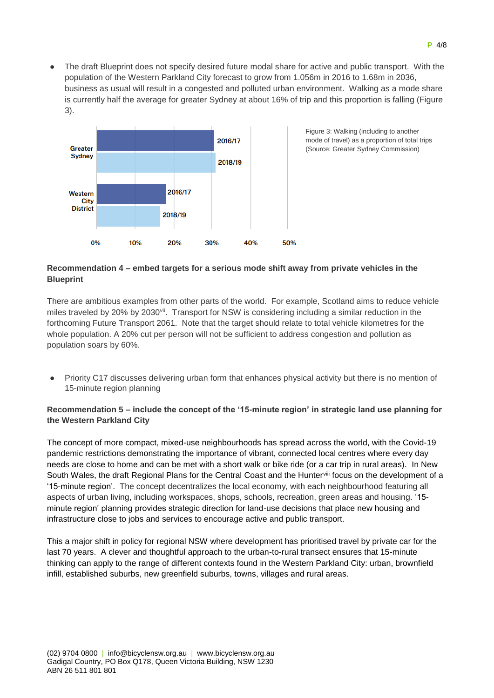• The draft Blueprint does not specify desired future modal share for active and public transport. With the population of the Western Parkland City forecast to grow from 1.056m in 2016 to 1.68m in 2036, business as usual will result in a congested and polluted urban environment. Walking as a mode share is currently half the average for greater Sydney at about 16% of trip and this proportion is falling (Figure 3).



Figure 3: Walking (including to another mode of travel) as a proportion of total trips (Source: Greater Sydney Commission)

### **Recommendation 4 – embed targets for a serious mode shift away from private vehicles in the Blueprint**

There are ambitious examples from other parts of the world. For example, Scotland aims to reduce vehicle miles traveled by 20% by 2030<sup>vii</sup>. Transport for NSW is considering including a similar reduction in the forthcoming Future Transport 2061. Note that the target should relate to total vehicle kilometres for the whole population. A 20% cut per person will not be sufficient to address congestion and pollution as population soars by 60%.

• Priority C17 discusses delivering urban form that enhances physical activity but there is no mention of 15-minute region planning

## **Recommendation 5 – include the concept of the '15-minute region' in strategic land use planning for the Western Parkland City**

The concept of more compact, mixed-use neighbourhoods has spread across the world, with the Covid-19 pandemic restrictions demonstrating the importance of vibrant, connected local centres where every day needs are close to home and can be met with a short walk or bike ride (or a car trip in rural areas). In New South Wales, the draft Regional Plans for the Central Coast and the Hunterviii focus on the development of a '15-minute region'. The concept decentralizes the local economy, with each neighbourhood featuring all aspects of urban living, including workspaces, shops, schools, recreation, green areas and housing. '15 minute region' planning provides strategic direction for land-use decisions that place new housing and infrastructure close to jobs and services to encourage active and public transport.

This a major shift in policy for regional NSW where development has prioritised travel by private car for the last 70 years. A clever and thoughtful approach to the urban-to-rural transect ensures that 15-minute thinking can apply to the range of different contexts found in the Western Parkland City: urban, brownfield infill, established suburbs, new greenfield suburbs, towns, villages and rural areas.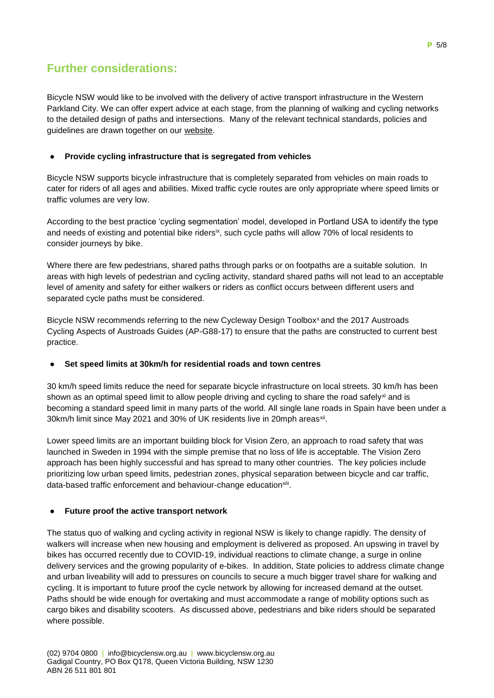# **Further considerations:**

Bicycle NSW would like to be involved with the delivery of active transport infrastructure in the Western Parkland City. We can offer expert advice at each stage, from the planning of walking and cycling networks to the detailed design of paths and intersections. Many of the relevant technical standards, policies and guidelines are drawn together on our [website.](https://bicyclensw.org.au/rays-corner/)

## Provide cycling infrastructure that is segregated from vehicles

Bicycle NSW supports bicycle infrastructure that is completely separated from vehicles on main roads to cater for riders of all ages and abilities. Mixed traffic cycle routes are only appropriate where speed limits or traffic volumes are very low.

According to the best practice 'cycling segmentation' model, developed in Portland USA to identify the type and needs of existing and potential bike riders<sup>ix</sup>, such cycle paths will allow 70% of local residents to consider journeys by bike.

Where there are few pedestrians, shared paths through parks or on footpaths are a suitable solution. In areas with high levels of pedestrian and cycling activity, standard shared paths will not lead to an acceptable level of amenity and safety for either walkers or riders as conflict occurs between different users and separated cycle paths must be considered.

Bicycle NSW recommends referring to the new Cycleway Design Toolbox<sup>x</sup> and the 2017 Austroads Cycling Aspects of Austroads Guides (AP-G88-17) to ensure that the paths are constructed to current best practice.

## **Set speed limits at 30km/h for residential roads and town centres**

30 km/h speed limits reduce the need for separate bicycle infrastructure on local streets. 30 km/h has been shown as an optimal speed limit to allow people driving and cycling to share the road safely $x$  and is becoming a standard speed limit in many parts of the world. All single lane roads in Spain have been under a 30km/h limit since May 2021 and 30% of UK residents live in 20mph areas<sup>xii</sup>.

Lower speed limits are an important building block for Vision Zero, an approach to road safety that was launched in Sweden in 1994 with the simple premise that no loss of life is acceptable. The Vision Zero approach has been highly successful and has spread to many other countries. The key policies include prioritizing low urban speed limits, pedestrian zones, physical separation between bicycle and car traffic, data-based traffic enforcement and behaviour-change education<sup>xiii</sup>.

## **Future proof the active transport network**

The status quo of walking and cycling activity in regional NSW is likely to change rapidly. The density of walkers will increase when new housing and employment is delivered as proposed. An upswing in travel by bikes has occurred recently due to COVID-19, individual reactions to climate change, a surge in online delivery services and the growing popularity of e-bikes. In addition, State policies to address climate change and urban liveability will add to pressures on councils to secure a much bigger travel share for walking and cycling. It is important to future proof the cycle network by allowing for increased demand at the outset. Paths should be wide enough for overtaking and must accommodate a range of mobility options such as cargo bikes and disability scooters. As discussed above, pedestrians and bike riders should be separated where possible.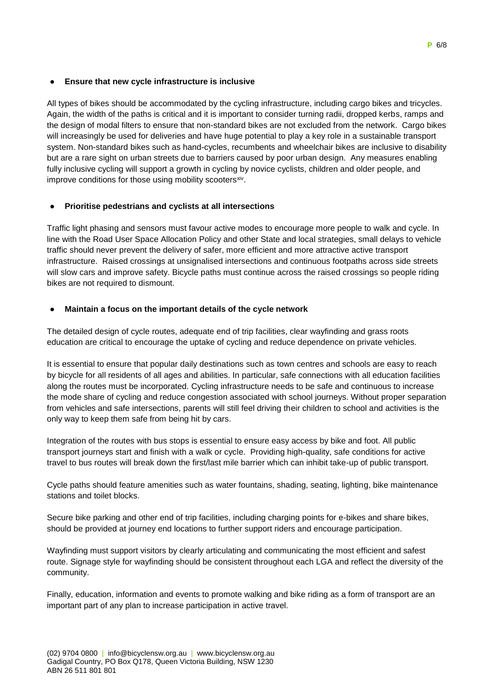### **Ensure that new cycle infrastructure is inclusive**

All types of bikes should be accommodated by the cycling infrastructure, including cargo bikes and tricycles. Again, the width of the paths is critical and it is important to consider turning radii, dropped kerbs, ramps and the design of modal filters to ensure that non-standard bikes are not excluded from the network. Cargo bikes will increasingly be used for deliveries and have huge potential to play a key role in a sustainable transport system. Non-standard bikes such as hand-cycles, recumbents and wheelchair bikes are inclusive to disability but are a rare sight on urban streets due to barriers caused by poor urban design. Any measures enabling fully inclusive cycling will support a growth in cycling by novice cyclists, children and older people, and improve conditions for those using mobility scooters<sup>xiv</sup>.

## **Prioritise pedestrians and cyclists at all intersections**

Traffic light phasing and sensors must favour active modes to encourage more people to walk and cycle. In line with the Road User Space Allocation Policy and other State and local strategies, small delays to vehicle traffic should never prevent the delivery of safer, more efficient and more attractive active transport infrastructure. Raised crossings at unsignalised intersections and continuous footpaths across side streets will slow cars and improve safety. Bicycle paths must continue across the raised crossings so people riding bikes are not required to dismount.

### **Maintain a focus on the important details of the cycle network**

The detailed design of cycle routes, adequate end of trip facilities, clear wayfinding and grass roots education are critical to encourage the uptake of cycling and reduce dependence on private vehicles.

It is essential to ensure that popular daily destinations such as town centres and schools are easy to reach by bicycle for all residents of all ages and abilities. In particular, safe connections with all education facilities along the routes must be incorporated. Cycling infrastructure needs to be safe and continuous to increase the mode share of cycling and reduce congestion associated with school journeys. Without proper separation from vehicles and safe intersections, parents will still feel driving their children to school and activities is the only way to keep them safe from being hit by cars.

Integration of the routes with bus stops is essential to ensure easy access by bike and foot. All public transport journeys start and finish with a walk or cycle. Providing high-quality, safe conditions for active travel to bus routes will break down the first/last mile barrier which can inhibit take-up of public transport.

Cycle paths should feature amenities such as water fountains, shading, seating, lighting, bike maintenance stations and toilet blocks.

Secure bike parking and other end of trip facilities, including charging points for e-bikes and share bikes, should be provided at journey end locations to further support riders and encourage participation.

Wayfinding must support visitors by clearly articulating and communicating the most efficient and safest route. Signage style for wayfinding should be consistent throughout each LGA and reflect the diversity of the community.

Finally, education, information and events to promote walking and bike riding as a form of transport are an important part of any plan to increase participation in active travel.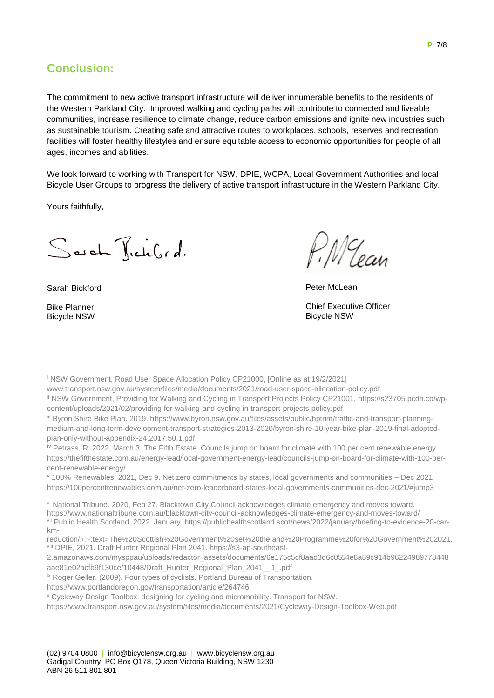# **Conclusion:**

The commitment to new active transport infrastructure will deliver innumerable benefits to the residents of the Western Parkland City. Improved walking and cycling paths will contribute to connected and liveable communities, increase resilience to climate change, reduce carbon emissions and ignite new industries such as sustainable tourism. Creating safe and attractive routes to workplaces, schools, reserves and recreation facilities will foster healthy lifestyles and ensure equitable access to economic opportunities for people of all ages, incomes and abilities.

We look forward to working with Transport for NSW, DPIE, WCPA, Local Government Authorities and local Bicycle User Groups to progress the delivery of active transport infrastructure in the Western Parkland City.

Yours faithfully,

Scich TickGrd.

Sarah Bickford

Bike Planner Bicycle NSW

-

MU Cecin

Peter McLean

Chief Executive Officer Bicycle NSW

**<sup>v</sup>** 100% Renewables. 2021, Dec 9. Net zero commitments by states, local governments and communities – Dec 2021 <https://100percentrenewables.com.au/net-zero-leaderboard-states-local-governments-communities-dec-2021/#jump3>

[2.amazonaws.com/mysppau/uploads/redactor\\_assets/documents/6e175c5cf8aad3d6c0554e8a89c914b96224989778448](https://s3-ap-southeast-2.amazonaws.com/mysppau/uploads/redactor_assets/documents/6e175c5cf8aad3d6c0554e8a89c914b96224989778448aae81e02acfb9f130ce/10448/Draft_Hunter_Regional_Plan_2041__1_.pdf) [aae81e02acfb9f130ce/10448/Draft\\_Hunter\\_Regional\\_Plan\\_2041\\_\\_1\\_.pdf](https://s3-ap-southeast-2.amazonaws.com/mysppau/uploads/redactor_assets/documents/6e175c5cf8aad3d6c0554e8a89c914b96224989778448aae81e02acfb9f130ce/10448/Draft_Hunter_Regional_Plan_2041__1_.pdf)

<sup>i</sup> NSW Government, Road User Space Allocation Policy CP21000, [Online as at 19/2/2021]

[www.transport.nsw.gov.au/system/files/media/documents/2021/road-user-space-allocation-policy.pdf](http://www.transport.nsw.gov.au/system/files/media/documents/2021/road-user-space-allocation-policy.pdf)

ii NSW Government, Providing for Walking and Cycling in Transport Projects Policy CP21001, [https://s23705.pcdn.co/wp](https://s23705.pcdn.co/wp-content/uploads/2021/02/providing-for-walking-and-cycling-in-transport-projects-policy.pdf)[content/uploads/2021/02/providing-for-walking-and-cycling-in-transport-projects-policy.pdf](https://s23705.pcdn.co/wp-content/uploads/2021/02/providing-for-walking-and-cycling-in-transport-projects-policy.pdf)

iii Byron Shire Bike Plan. 2019. https://www.byron.nsw.gov.au/files/assets/public/hptrim/traffic-and-transport-planningmedium-and-long-term-development-transport-strategies-2013-2020/byron-shire-10-year-bike-plan-2019-final-adoptedplan-only-without-appendix-24.2017.50.1.pdf

**iv** Petrass, R. 2022, March 3. The Fifth Estate. Councils jump on board for climate with 100 per cent renewable energy https://thefifthestate.com.au/energy-lead/local-government-energy-lead/councils-jump-on-board-for-climate-with-100-percent-renewable-energy/

vi National Tribune. 2020, Feb 27. Blacktown City Council acknowledges climate emergency and moves toward. <https://www.nationaltribune.com.au/blacktown-city-council-acknowledges-climate-emergency-and-moves-toward/> vii Public Health Scotland. 2022, January. https://publichealthscotland.scot/news/2022/january/briefing-to-evidence-20-carkm-

reduction/#:~:text=The%20Scottish%20Government%20set%20the,and%20Programme%20for%20Government%202021. viii DPIE, 2021. Draft Hunter Regional Plan 2041[. https://s3-ap-southeast-](https://s3-ap-southeast-2.amazonaws.com/mysppau/uploads/redactor_assets/documents/6e175c5cf8aad3d6c0554e8a89c914b96224989778448aae81e02acfb9f130ce/10448/Draft_Hunter_Regional_Plan_2041__1_.pdf)

<sup>&</sup>lt;sup>ix</sup> Roger Geller. (2009). Four types of cyclists. Portland Bureau of Transportation.

https://www.portlandoregon.gov/transportation/article/264746

<sup>x</sup> Cycleway Design Toolbox: designing for cycling and micromobility. Transport for NSW.

<https://www.transport.nsw.gov.au/system/files/media/documents/2021/Cycleway-Design-Toolbox-Web.pdf>